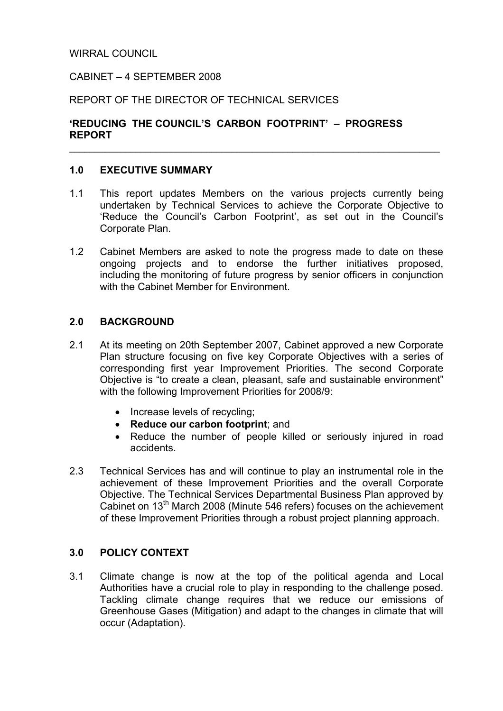### WIRRAL COUNCIL

#### CABINET – 4 SEPTEMBER 2008

#### REPORT OF THE DIRECTOR OF TECHNICAL SERVICES

### 'REDUCING THE COUNCIL'S CARBON FOOTPRINT' – PROGRESS REPORT

#### 1.0 EXECUTIVE SUMMARY

1.1 This report updates Members on the various projects currently being undertaken by Technical Services to achieve the Corporate Objective to 'Reduce the Council's Carbon Footprint', as set out in the Council's Corporate Plan.

\_\_\_\_\_\_\_\_\_\_\_\_\_\_\_\_\_\_\_\_\_\_\_\_\_\_\_\_\_\_\_\_\_\_\_\_\_\_\_\_\_\_\_\_\_\_\_\_\_\_\_\_\_\_\_\_\_\_\_\_\_\_\_\_\_\_\_\_\_\_\_\_\_

1.2 Cabinet Members are asked to note the progress made to date on these ongoing projects and to endorse the further initiatives proposed, including the monitoring of future progress by senior officers in conjunction with the Cabinet Member for Environment.

#### 2.0 BACKGROUND

- 2.1 At its meeting on 20th September 2007, Cabinet approved a new Corporate Plan structure focusing on five key Corporate Objectives with a series of corresponding first year Improvement Priorities. The second Corporate Objective is "to create a clean, pleasant, safe and sustainable environment" with the following Improvement Priorities for 2008/9:
	- Increase levels of recycling:
	- Reduce our carbon footprint; and
	- Reduce the number of people killed or seriously injured in road accidents.
- 2.3 Technical Services has and will continue to play an instrumental role in the achievement of these Improvement Priorities and the overall Corporate Objective. The Technical Services Departmental Business Plan approved by Cabinet on 13th March 2008 (Minute 546 refers) focuses on the achievement of these Improvement Priorities through a robust project planning approach.

### 3.0 POLICY CONTEXT

3.1 Climate change is now at the top of the political agenda and Local Authorities have a crucial role to play in responding to the challenge posed. Tackling climate change requires that we reduce our emissions of Greenhouse Gases (Mitigation) and adapt to the changes in climate that will occur (Adaptation).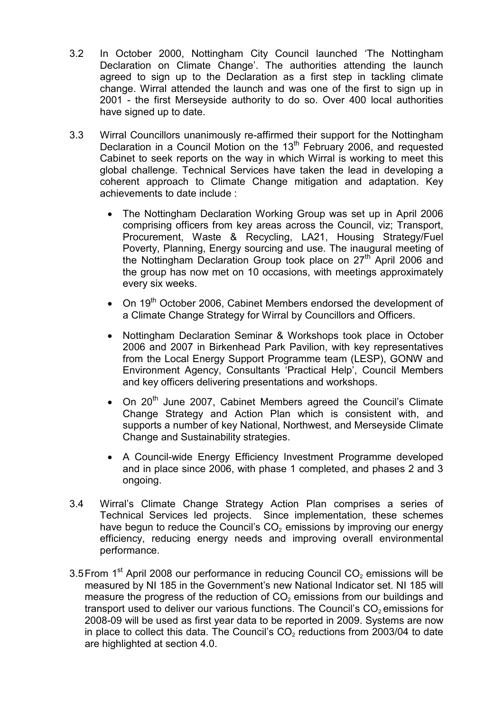- 3.2 In October 2000, Nottingham City Council launched 'The Nottingham Declaration on Climate Change'. The authorities attending the launch agreed to sign up to the Declaration as a first step in tackling climate change. Wirral attended the launch and was one of the first to sign up in 2001 - the first Merseyside authority to do so. Over 400 local authorities have signed up to date.
- 3.3 Wirral Councillors unanimously re-affirmed their support for the Nottingham Declaration in a Council Motion on the 13<sup>th</sup> February 2006, and requested Cabinet to seek reports on the way in which Wirral is working to meet this global challenge. Technical Services have taken the lead in developing a coherent approach to Climate Change mitigation and adaptation. Key achievements to date include :
	- The Nottingham Declaration Working Group was set up in April 2006 comprising officers from key areas across the Council, viz; Transport, Procurement, Waste & Recycling, LA21, Housing Strategy/Fuel Poverty, Planning, Energy sourcing and use. The inaugural meeting of the Nottingham Declaration Group took place on  $27<sup>th</sup>$  April 2006 and the group has now met on 10 occasions, with meetings approximately every six weeks.
	- On 19<sup>th</sup> October 2006, Cabinet Members endorsed the development of a Climate Change Strategy for Wirral by Councillors and Officers.
	- Nottingham Declaration Seminar & Workshops took place in October 2006 and 2007 in Birkenhead Park Pavilion, with key representatives from the Local Energy Support Programme team (LESP), GONW and Environment Agency, Consultants 'Practical Help', Council Members and key officers delivering presentations and workshops.
	- On  $20<sup>th</sup>$  June 2007, Cabinet Members agreed the Council's Climate Change Strategy and Action Plan which is consistent with, and supports a number of key National, Northwest, and Merseyside Climate Change and Sustainability strategies.
	- A Council-wide Energy Efficiency Investment Programme developed and in place since 2006, with phase 1 completed, and phases 2 and 3 ongoing.
- 3.4 Wirral's Climate Change Strategy Action Plan comprises a series of Technical Services led projects. Since implementation, these schemes have begun to reduce the Council's  $CO<sub>2</sub>$  emissions by improving our energy efficiency, reducing energy needs and improving overall environmental performance.
- 3.5 From  $1<sup>st</sup>$  April 2008 our performance in reducing Council CO<sub>2</sub> emissions will be measured by NI 185 in the Government's new National Indicator set. NI 185 will measure the progress of the reduction of  $CO<sub>2</sub>$  emissions from our buildings and transport used to deliver our various functions. The Council's  $CO<sub>2</sub>$  emissions for 2008-09 will be used as first year data to be reported in 2009. Systems are now in place to collect this data. The Council's  $CO<sub>2</sub>$  reductions from 2003/04 to date are highlighted at section 4.0.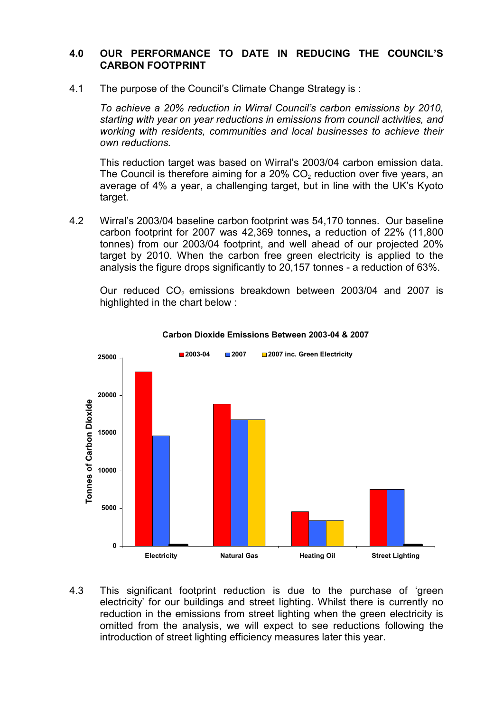## 4.0 OUR PERFORMANCE TO DATE IN REDUCING THE COUNCIL'S CARBON FOOTPRINT

4.1 The purpose of the Council's Climate Change Strategy is :

To achieve a 20% reduction in Wirral Council's carbon emissions by 2010, starting with year on year reductions in emissions from council activities, and working with residents, communities and local businesses to achieve their own reductions.

 This reduction target was based on Wirral's 2003/04 carbon emission data. The Council is therefore aiming for a  $20\%$  CO<sub>2</sub> reduction over five years, an average of 4% a year, a challenging target, but in line with the UK's Kyoto target.

4.2 Wirral's 2003/04 baseline carbon footprint was 54,170 tonnes. Our baseline carbon footprint for 2007 was 42,369 tonnes, a reduction of 22% (11,800 tonnes) from our 2003/04 footprint, and well ahead of our projected 20% target by 2010. When the carbon free green electricity is applied to the analysis the figure drops significantly to 20,157 tonnes - a reduction of 63%.

Our reduced  $CO<sub>2</sub>$  emissions breakdown between 2003/04 and 2007 is highlighted in the chart below :



#### Carbon Dioxide Emissions Between 2003-04 & 2007

4.3 This significant footprint reduction is due to the purchase of 'green electricity' for our buildings and street lighting. Whilst there is currently no reduction in the emissions from street lighting when the green electricity is omitted from the analysis, we will expect to see reductions following the introduction of street lighting efficiency measures later this year.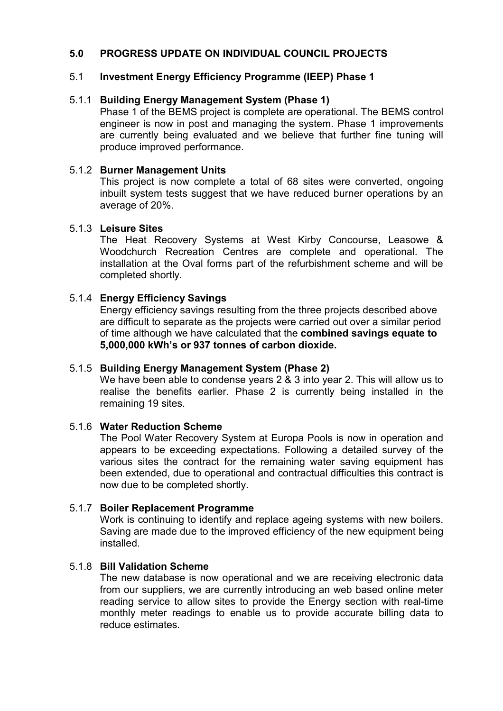## 5.0 PROGRESS UPDATE ON INDIVIDUAL COUNCIL PROJECTS

## 5.1 Investment Energy Efficiency Programme (IEEP) Phase 1

### 5.1.1 Building Energy Management System (Phase 1)

Phase 1 of the BEMS project is complete are operational. The BEMS control engineer is now in post and managing the system. Phase 1 improvements are currently being evaluated and we believe that further fine tuning will produce improved performance.

#### 5.1.2 Burner Management Units

This project is now complete a total of 68 sites were converted, ongoing inbuilt system tests suggest that we have reduced burner operations by an average of 20%.

#### 5.1.3 Leisure Sites

The Heat Recovery Systems at West Kirby Concourse, Leasowe & Woodchurch Recreation Centres are complete and operational. The installation at the Oval forms part of the refurbishment scheme and will be completed shortly.

### 5.1.4 Energy Efficiency Savings

Energy efficiency savings resulting from the three projects described above are difficult to separate as the projects were carried out over a similar period of time although we have calculated that the combined savings equate to 5,000,000 kWh's or 937 tonnes of carbon dioxide.

### 5.1.5 Building Energy Management System (Phase 2)

We have been able to condense years 2 & 3 into year 2. This will allow us to realise the benefits earlier. Phase 2 is currently being installed in the remaining 19 sites.

### 5.1.6 Water Reduction Scheme

The Pool Water Recovery System at Europa Pools is now in operation and appears to be exceeding expectations. Following a detailed survey of the various sites the contract for the remaining water saving equipment has been extended, due to operational and contractual difficulties this contract is now due to be completed shortly.

### 5.1.7 Boiler Replacement Programme

Work is continuing to identify and replace ageing systems with new boilers. Saving are made due to the improved efficiency of the new equipment being installed.

#### 5.1.8 Bill Validation Scheme

The new database is now operational and we are receiving electronic data from our suppliers, we are currently introducing an web based online meter reading service to allow sites to provide the Energy section with real-time monthly meter readings to enable us to provide accurate billing data to reduce estimates.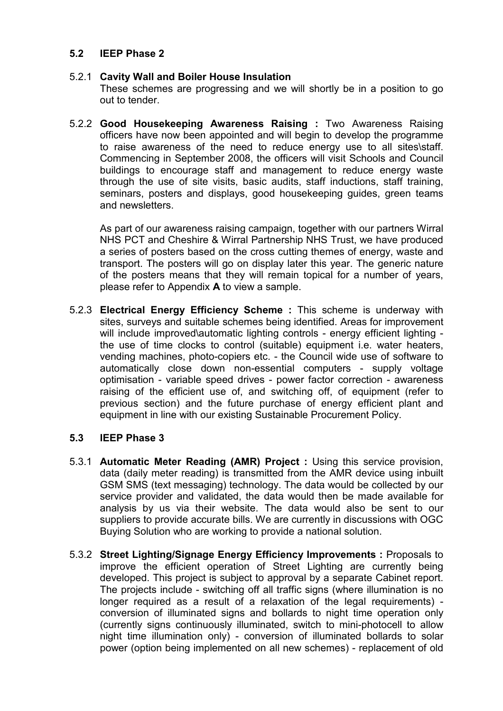## 5.2 IEEP Phase 2

### 5.2.1 Cavity Wall and Boiler House Insulation

These schemes are progressing and we will shortly be in a position to go out to tender.

5.2.2 Good Housekeeping Awareness Raising : Two Awareness Raising officers have now been appointed and will begin to develop the programme to raise awareness of the need to reduce energy use to all sites\staff. Commencing in September 2008, the officers will visit Schools and Council buildings to encourage staff and management to reduce energy waste through the use of site visits, basic audits, staff inductions, staff training, seminars, posters and displays, good housekeeping guides, green teams and newsletters.

As part of our awareness raising campaign, together with our partners Wirral NHS PCT and Cheshire & Wirral Partnership NHS Trust, we have produced a series of posters based on the cross cutting themes of energy, waste and transport. The posters will go on display later this year. The generic nature of the posters means that they will remain topical for a number of years, please refer to Appendix A to view a sample.

5.2.3 Electrical Energy Efficiency Scheme : This scheme is underway with sites, surveys and suitable schemes being identified. Areas for improvement will include improved\automatic lighting controls - energy efficient lighting the use of time clocks to control (suitable) equipment i.e. water heaters, vending machines, photo-copiers etc. - the Council wide use of software to automatically close down non-essential computers - supply voltage optimisation - variable speed drives - power factor correction - awareness raising of the efficient use of, and switching off, of equipment (refer to previous section) and the future purchase of energy efficient plant and equipment in line with our existing Sustainable Procurement Policy.

### 5.3 IEEP Phase 3

- 5.3.1 Automatic Meter Reading (AMR) Project : Using this service provision, data (daily meter reading) is transmitted from the AMR device using inbuilt GSM SMS (text messaging) technology. The data would be collected by our service provider and validated, the data would then be made available for analysis by us via their website. The data would also be sent to our suppliers to provide accurate bills. We are currently in discussions with OGC Buying Solution who are working to provide a national solution.
- 5.3.2 Street Lighting/Signage Energy Efficiency Improvements : Proposals to improve the efficient operation of Street Lighting are currently being developed. This project is subject to approval by a separate Cabinet report. The projects include - switching off all traffic signs (where illumination is no longer required as a result of a relaxation of the legal requirements) conversion of illuminated signs and bollards to night time operation only (currently signs continuously illuminated, switch to mini-photocell to allow night time illumination only) - conversion of illuminated bollards to solar power (option being implemented on all new schemes) - replacement of old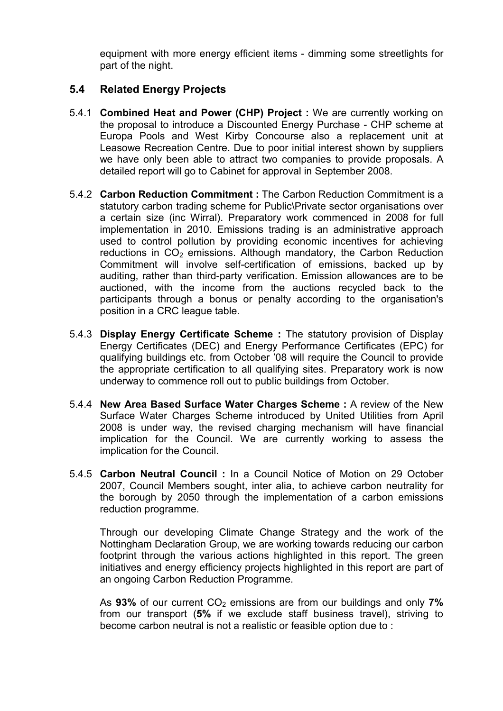equipment with more energy efficient items - dimming some streetlights for part of the night.

# 5.4 Related Energy Projects

- 5.4.1 Combined Heat and Power (CHP) Project : We are currently working on the proposal to introduce a Discounted Energy Purchase - CHP scheme at Europa Pools and West Kirby Concourse also a replacement unit at Leasowe Recreation Centre. Due to poor initial interest shown by suppliers we have only been able to attract two companies to provide proposals. A detailed report will go to Cabinet for approval in September 2008.
- 5.4.2 Carbon Reduction Commitment : The Carbon Reduction Commitment is a statutory carbon trading scheme for Public\Private sector organisations over a certain size (inc Wirral). Preparatory work commenced in 2008 for full implementation in 2010. Emissions trading is an administrative approach used to control pollution by providing economic incentives for achieving reductions in  $CO<sub>2</sub>$  emissions. Although mandatory, the Carbon Reduction Commitment will involve self-certification of emissions, backed up by auditing, rather than third-party verification. Emission allowances are to be auctioned, with the income from the auctions recycled back to the participants through a bonus or penalty according to the organisation's position in a CRC league table.
- 5.4.3 Display Energy Certificate Scheme : The statutory provision of Display Energy Certificates (DEC) and Energy Performance Certificates (EPC) for qualifying buildings etc. from October '08 will require the Council to provide the appropriate certification to all qualifying sites. Preparatory work is now underway to commence roll out to public buildings from October.
- 5.4.4 New Area Based Surface Water Charges Scheme : A review of the New Surface Water Charges Scheme introduced by United Utilities from April 2008 is under way, the revised charging mechanism will have financial implication for the Council. We are currently working to assess the implication for the Council.
- 5.4.5 Carbon Neutral Council : In a Council Notice of Motion on 29 October 2007, Council Members sought, inter alia, to achieve carbon neutrality for the borough by 2050 through the implementation of a carbon emissions reduction programme.

 Through our developing Climate Change Strategy and the work of the Nottingham Declaration Group, we are working towards reducing our carbon footprint through the various actions highlighted in this report. The green initiatives and energy efficiency projects highlighted in this report are part of an ongoing Carbon Reduction Programme.

As 93% of our current  $CO<sub>2</sub>$  emissions are from our buildings and only 7% from our transport (5% if we exclude staff business travel), striving to become carbon neutral is not a realistic or feasible option due to :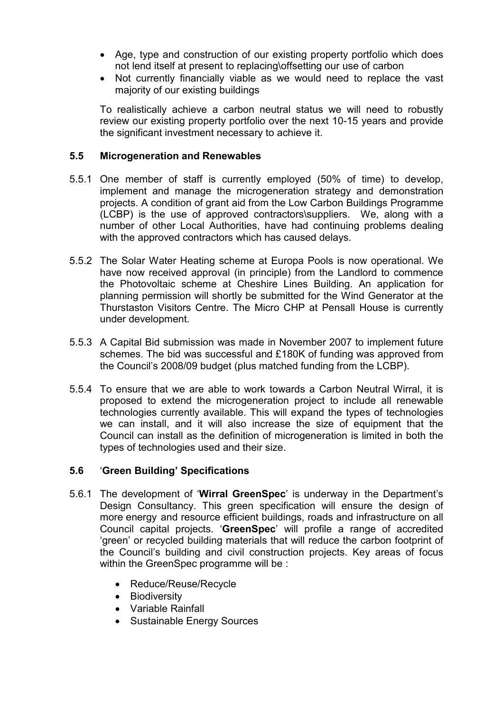- Age, type and construction of our existing property portfolio which does not lend itself at present to replacing\offsetting our use of carbon
- Not currently financially viable as we would need to replace the vast majority of our existing buildings

To realistically achieve a carbon neutral status we will need to robustly review our existing property portfolio over the next 10-15 years and provide the significant investment necessary to achieve it.

## 5.5 Microgeneration and Renewables

- 5.5.1 One member of staff is currently employed (50% of time) to develop, implement and manage the microgeneration strategy and demonstration projects. A condition of grant aid from the Low Carbon Buildings Programme (LCBP) is the use of approved contractors\suppliers. We, along with a number of other Local Authorities, have had continuing problems dealing with the approved contractors which has caused delays.
- 5.5.2 The Solar Water Heating scheme at Europa Pools is now operational. We have now received approval (in principle) from the Landlord to commence the Photovoltaic scheme at Cheshire Lines Building. An application for planning permission will shortly be submitted for the Wind Generator at the Thurstaston Visitors Centre. The Micro CHP at Pensall House is currently under development.
- 5.5.3 A Capital Bid submission was made in November 2007 to implement future schemes. The bid was successful and £180K of funding was approved from the Council's 2008/09 budget (plus matched funding from the LCBP).
- 5.5.4 To ensure that we are able to work towards a Carbon Neutral Wirral, it is proposed to extend the microgeneration project to include all renewable technologies currently available. This will expand the types of technologies we can install, and it will also increase the size of equipment that the Council can install as the definition of microgeneration is limited in both the types of technologies used and their size.

## 5.6 'Green Building' Specifications

- 5.6.1 The development of 'Wirral GreenSpec' is underway in the Department's Design Consultancy. This green specification will ensure the design of more energy and resource efficient buildings, roads and infrastructure on all Council capital projects. 'GreenSpec' will profile a range of accredited 'green' or recycled building materials that will reduce the carbon footprint of the Council's building and civil construction projects. Key areas of focus within the GreenSpec programme will be :
	- Reduce/Reuse/Recycle
	- Biodiversity
	- Variable Rainfall
	- Sustainable Energy Sources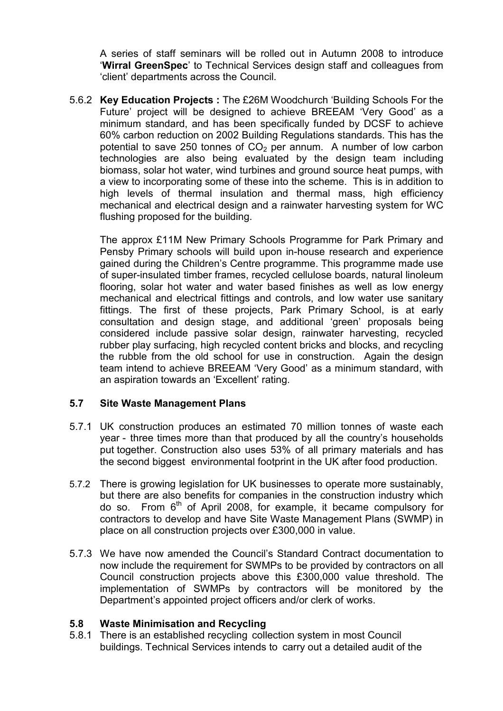A series of staff seminars will be rolled out in Autumn 2008 to introduce 'Wirral GreenSpec' to Technical Services design staff and colleagues from 'client' departments across the Council.

5.6.2 Key Education Projects : The £26M Woodchurch 'Building Schools For the Future' project will be designed to achieve BREEAM 'Very Good' as a minimum standard, and has been specifically funded by DCSF to achieve 60% carbon reduction on 2002 Building Regulations standards. This has the potential to save 250 tonnes of  $CO<sub>2</sub>$  per annum. A number of low carbon technologies are also being evaluated by the design team including biomass, solar hot water, wind turbines and ground source heat pumps, with a view to incorporating some of these into the scheme. This is in addition to high levels of thermal insulation and thermal mass, high efficiency mechanical and electrical design and a rainwater harvesting system for WC flushing proposed for the building.

The approx £11M New Primary Schools Programme for Park Primary and Pensby Primary schools will build upon in-house research and experience gained during the Children's Centre programme. This programme made use of super-insulated timber frames, recycled cellulose boards, natural linoleum flooring, solar hot water and water based finishes as well as low energy mechanical and electrical fittings and controls, and low water use sanitary fittings. The first of these projects, Park Primary School, is at early consultation and design stage, and additional 'green' proposals being considered include passive solar design, rainwater harvesting, recycled rubber play surfacing, high recycled content bricks and blocks, and recycling the rubble from the old school for use in construction. Again the design team intend to achieve BREEAM 'Very Good' as a minimum standard, with an aspiration towards an 'Excellent' rating.

## 5.7 Site Waste Management Plans

- 5.7.1 UK construction produces an estimated 70 million tonnes of waste each year - three times more than that produced by all the country's households put together. Construction also uses 53% of all primary materials and has the second biggest environmental footprint in the UK after food production.
- 5.7.2 There is growing legislation for UK businesses to operate more sustainably, but there are also benefits for companies in the construction industry which do so. From  $6<sup>th</sup>$  of April 2008, for example, it became compulsory for contractors to develop and have Site Waste Management Plans (SWMP) in place on all construction projects over £300,000 in value.
- 5.7.3 We have now amended the Council's Standard Contract documentation to now include the requirement for SWMPs to be provided by contractors on all Council construction projects above this £300,000 value threshold. The implementation of SWMPs by contractors will be monitored by the Department's appointed project officers and/or clerk of works.

### 5.8 Waste Minimisation and Recycling

5.8.1 There is an established recycling collection system in most Council buildings. Technical Services intends to carry out a detailed audit of the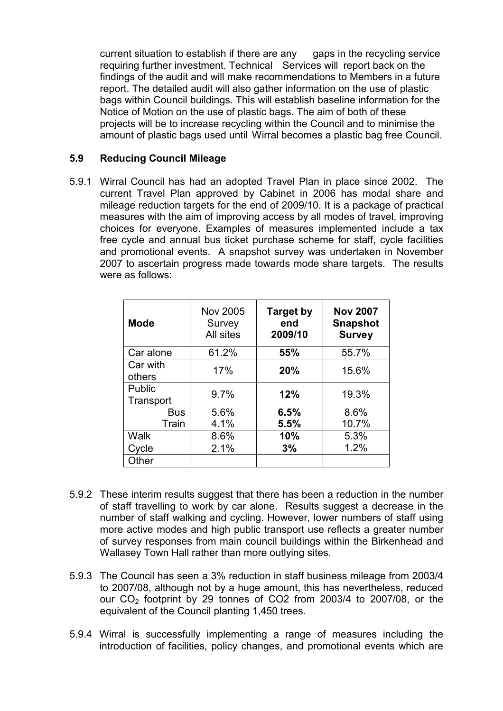current situation to establish if there are any gaps in the recycling service requiring further investment. Technical Services will report back on the findings of the audit and will make recommendations to Members in a future report. The detailed audit will also gather information on the use of plastic bags within Council buildings. This will establish baseline information for the Notice of Motion on the use of plastic bags. The aim of both of these projects will be to increase recycling within the Council and to minimise the amount of plastic bags used until Wirral becomes a plastic bag free Council.

## 5.9 Reducing Council Mileage

5.9.1 Wirral Council has had an adopted Travel Plan in place since 2002. The current Travel Plan approved by Cabinet in 2006 has modal share and mileage reduction targets for the end of 2009/10. It is a package of practical measures with the aim of improving access by all modes of travel, improving choices for everyone. Examples of measures implemented include a tax free cycle and annual bus ticket purchase scheme for staff, cycle facilities and promotional events. A snapshot survey was undertaken in November 2007 to ascertain progress made towards mode share targets. The results were as follows:

| <b>Mode</b>         | Nov 2005<br>Survey<br>All sites | <b>Target by</b><br>end<br>2009/10 | <b>Nov 2007</b><br><b>Snapshot</b><br><b>Survey</b> |
|---------------------|---------------------------------|------------------------------------|-----------------------------------------------------|
| Car alone           | 61.2%                           | 55%                                | 55.7%                                               |
| Car with<br>others  | 17%                             | 20%                                | 15.6%                                               |
| Public<br>Transport | 9.7%                            | 12%                                | 19.3%                                               |
| <b>Bus</b>          | 5.6%                            | 6.5%                               | 8.6%                                                |
| Train               | 4.1%                            | 5.5%                               | 10.7%                                               |
| Walk                | 8.6%                            | 10%                                | 5.3%                                                |
| Cycle               | 2.1%                            | 3%                                 | 1.2%                                                |
| Other               |                                 |                                    |                                                     |

- 5.9.2 These interim results suggest that there has been a reduction in the number of staff travelling to work by car alone. Results suggest a decrease in the number of staff walking and cycling. However, lower numbers of staff using more active modes and high public transport use reflects a greater number of survey responses from main council buildings within the Birkenhead and Wallasey Town Hall rather than more outlying sites.
- 5.9.3 The Council has seen a 3% reduction in staff business mileage from 2003/4 to 2007/08, although not by a huge amount, this has nevertheless, reduced our CO2 footprint by 29 tonnes of CO2 from 2003/4 to 2007/08, or the equivalent of the Council planting 1,450 trees.
- 5.9.4 Wirral is successfully implementing a range of measures including the introduction of facilities, policy changes, and promotional events which are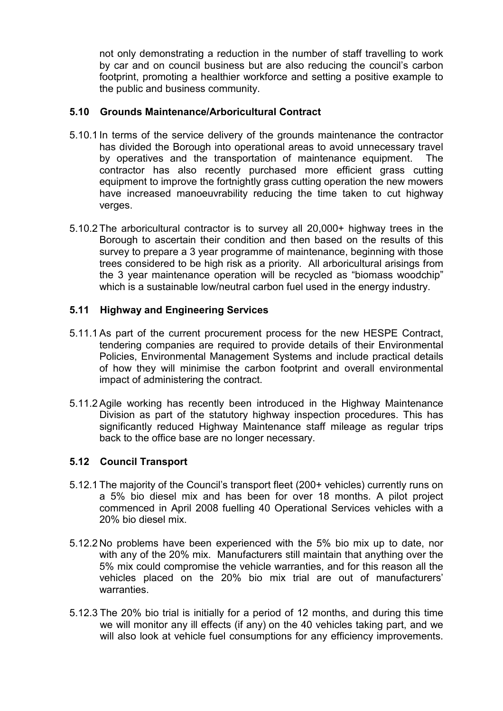not only demonstrating a reduction in the number of staff travelling to work by car and on council business but are also reducing the council's carbon footprint, promoting a healthier workforce and setting a positive example to the public and business community.

## 5.10 Grounds Maintenance/Arboricultural Contract

- 5.10.1 In terms of the service delivery of the grounds maintenance the contractor has divided the Borough into operational areas to avoid unnecessary travel by operatives and the transportation of maintenance equipment. The contractor has also recently purchased more efficient grass cutting equipment to improve the fortnightly grass cutting operation the new mowers have increased manoeuvrability reducing the time taken to cut highway verges.
- 5.10.2 The arboricultural contractor is to survey all 20,000+ highway trees in the Borough to ascertain their condition and then based on the results of this survey to prepare a 3 year programme of maintenance, beginning with those trees considered to be high risk as a priority. All arboricultural arisings from the 3 year maintenance operation will be recycled as "biomass woodchip" which is a sustainable low/neutral carbon fuel used in the energy industry.

## 5.11 Highway and Engineering Services

- 5.11.1 As part of the current procurement process for the new HESPE Contract, tendering companies are required to provide details of their Environmental Policies, Environmental Management Systems and include practical details of how they will minimise the carbon footprint and overall environmental impact of administering the contract.
- 5.11.2 Agile working has recently been introduced in the Highway Maintenance Division as part of the statutory highway inspection procedures. This has significantly reduced Highway Maintenance staff mileage as regular trips back to the office base are no longer necessary.

### 5.12 Council Transport

- 5.12.1 The majority of the Council's transport fleet (200+ vehicles) currently runs on a 5% bio diesel mix and has been for over 18 months. A pilot project commenced in April 2008 fuelling 40 Operational Services vehicles with a 20% bio diesel mix.
- 5.12.2 No problems have been experienced with the 5% bio mix up to date, nor with any of the 20% mix. Manufacturers still maintain that anything over the 5% mix could compromise the vehicle warranties, and for this reason all the vehicles placed on the 20% bio mix trial are out of manufacturers' warranties.
- 5.12.3 The 20% bio trial is initially for a period of 12 months, and during this time we will monitor any ill effects (if any) on the 40 vehicles taking part, and we will also look at vehicle fuel consumptions for any efficiency improvements.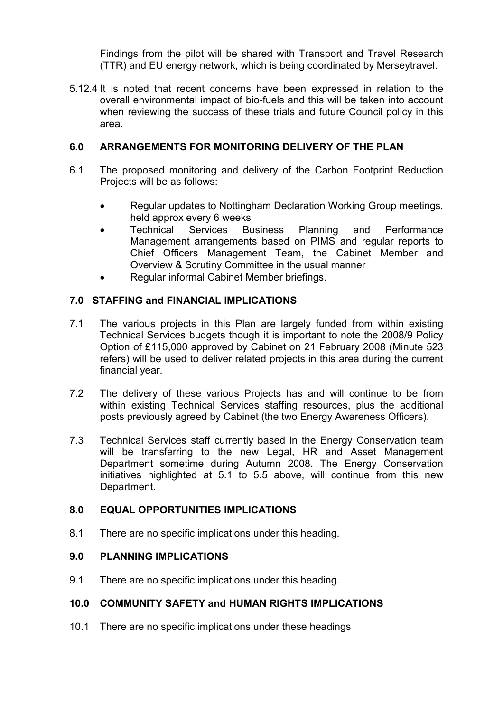Findings from the pilot will be shared with Transport and Travel Research (TTR) and EU energy network, which is being coordinated by Merseytravel.

5.12.4 It is noted that recent concerns have been expressed in relation to the overall environmental impact of bio-fuels and this will be taken into account when reviewing the success of these trials and future Council policy in this area.

## 6.0 ARRANGEMENTS FOR MONITORING DELIVERY OF THE PLAN

- 6.1 The proposed monitoring and delivery of the Carbon Footprint Reduction Projects will be as follows:
	- Regular updates to Nottingham Declaration Working Group meetings, held approx every 6 weeks
	- Technical Services Business Planning and Performance Management arrangements based on PIMS and regular reports to Chief Officers Management Team, the Cabinet Member and Overview & Scrutiny Committee in the usual manner
	- Regular informal Cabinet Member briefings.

## 7.0 STAFFING and FINANCIAL IMPLICATIONS

- 7.1 The various projects in this Plan are largely funded from within existing Technical Services budgets though it is important to note the 2008/9 Policy Option of £115,000 approved by Cabinet on 21 February 2008 (Minute 523 refers) will be used to deliver related projects in this area during the current financial year.
- 7.2 The delivery of these various Projects has and will continue to be from within existing Technical Services staffing resources, plus the additional posts previously agreed by Cabinet (the two Energy Awareness Officers).
- 7.3 Technical Services staff currently based in the Energy Conservation team will be transferring to the new Legal. HR and Asset Management Department sometime during Autumn 2008. The Energy Conservation initiatives highlighted at 5.1 to 5.5 above, will continue from this new Department.

## 8.0 EQUAL OPPORTUNITIES IMPLICATIONS

8.1 There are no specific implications under this heading.

## 9.0 PLANNING IMPLICATIONS

9.1 There are no specific implications under this heading.

## 10.0 COMMUNITY SAFETY and HUMAN RIGHTS IMPLICATIONS

10.1 There are no specific implications under these headings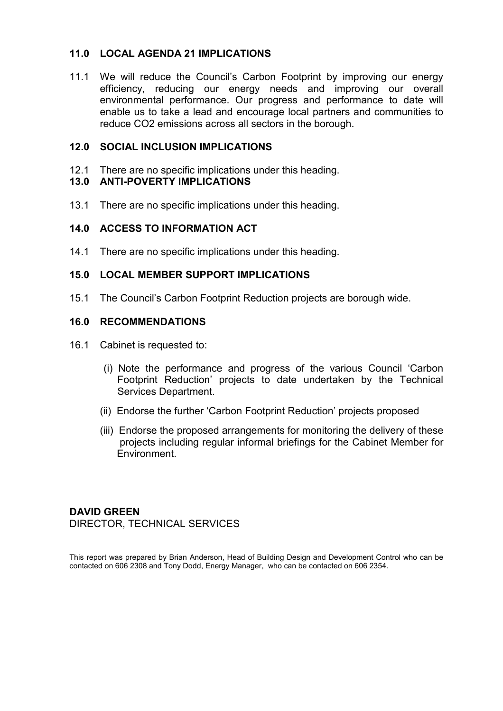## 11.0 LOCAL AGENDA 21 IMPLICATIONS

11.1 We will reduce the Council's Carbon Footprint by improving our energy efficiency, reducing our energy needs and improving our overall environmental performance. Our progress and performance to date will enable us to take a lead and encourage local partners and communities to reduce CO2 emissions across all sectors in the borough.

### 12.0 SOCIAL INCLUSION IMPLICATIONS

12.1 There are no specific implications under this heading.

## 13.0 ANTI-POVERTY IMPLICATIONS

13.1 There are no specific implications under this heading.

#### 14.0 ACCESS TO INFORMATION ACT

14.1 There are no specific implications under this heading.

#### 15.0 LOCAL MEMBER SUPPORT IMPLICATIONS

15.1 The Council's Carbon Footprint Reduction projects are borough wide.

#### 16.0 RECOMMENDATIONS

- 16.1 Cabinet is requested to:
	- (i) Note the performance and progress of the various Council 'Carbon Footprint Reduction' projects to date undertaken by the Technical Services Department.
	- (ii) Endorse the further 'Carbon Footprint Reduction' projects proposed
	- (iii) Endorse the proposed arrangements for monitoring the delivery of these projects including regular informal briefings for the Cabinet Member for Environment.

## DAVID GREEN DIRECTOR, TECHNICAL SERVICES

This report was prepared by Brian Anderson, Head of Building Design and Development Control who can be contacted on 606 2308 and Tony Dodd, Energy Manager, who can be contacted on 606 2354.